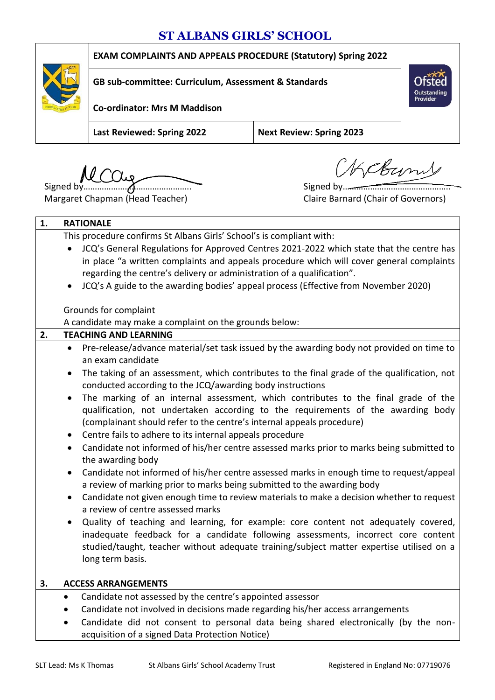## **ST ALBANS GIRLS' SCHOOL**

**EXAM COMPLAINTS AND APPEALS PROCEDURE (Statutory) Spring 2022**



**GB sub-committee: Curriculum, Assessment & Standards**

**Co-ordinator: Mrs M Maddison**

**Last Reviewed: Spring 2022 Next Review: Spring 2023**

Signed by……………………………………….. Signed by………………………………………..

OKCBUMS

Outstanding Provider

Margaret Chapman (Head Teacher) Claire Barnard (Chair of Governors)

| This procedure confirms St Albans Girls' School's is compliant with:<br>JCQ's General Regulations for Approved Centres 2021-2022 which state that the centre has<br>in place "a written complaints and appeals procedure which will cover general complaints<br>regarding the centre's delivery or administration of a qualification".<br>JCQ's A guide to the awarding bodies' appeal process (Effective from November 2020)<br>Grounds for complaint<br>A candidate may make a complaint on the grounds below:<br><b>TEACHING AND LEARNING</b><br>2.<br>Pre-release/advance material/set task issued by the awarding body not provided on time to<br>an exam candidate<br>The taking of an assessment, which contributes to the final grade of the qualification, not<br>$\bullet$<br>conducted according to the JCQ/awarding body instructions<br>The marking of an internal assessment, which contributes to the final grade of the<br>$\bullet$<br>qualification, not undertaken according to the requirements of the awarding body<br>(complainant should refer to the centre's internal appeals procedure)<br>Centre fails to adhere to its internal appeals procedure<br>$\bullet$<br>Candidate not informed of his/her centre assessed marks prior to marks being submitted to<br>$\bullet$<br>the awarding body<br>Candidate not informed of his/her centre assessed marks in enough time to request/appeal<br>$\bullet$<br>a review of marking prior to marks being submitted to the awarding body |  |
|---------------------------------------------------------------------------------------------------------------------------------------------------------------------------------------------------------------------------------------------------------------------------------------------------------------------------------------------------------------------------------------------------------------------------------------------------------------------------------------------------------------------------------------------------------------------------------------------------------------------------------------------------------------------------------------------------------------------------------------------------------------------------------------------------------------------------------------------------------------------------------------------------------------------------------------------------------------------------------------------------------------------------------------------------------------------------------------------------------------------------------------------------------------------------------------------------------------------------------------------------------------------------------------------------------------------------------------------------------------------------------------------------------------------------------------------------------------------------------------------------------------|--|
|                                                                                                                                                                                                                                                                                                                                                                                                                                                                                                                                                                                                                                                                                                                                                                                                                                                                                                                                                                                                                                                                                                                                                                                                                                                                                                                                                                                                                                                                                                               |  |
|                                                                                                                                                                                                                                                                                                                                                                                                                                                                                                                                                                                                                                                                                                                                                                                                                                                                                                                                                                                                                                                                                                                                                                                                                                                                                                                                                                                                                                                                                                               |  |
|                                                                                                                                                                                                                                                                                                                                                                                                                                                                                                                                                                                                                                                                                                                                                                                                                                                                                                                                                                                                                                                                                                                                                                                                                                                                                                                                                                                                                                                                                                               |  |
|                                                                                                                                                                                                                                                                                                                                                                                                                                                                                                                                                                                                                                                                                                                                                                                                                                                                                                                                                                                                                                                                                                                                                                                                                                                                                                                                                                                                                                                                                                               |  |
|                                                                                                                                                                                                                                                                                                                                                                                                                                                                                                                                                                                                                                                                                                                                                                                                                                                                                                                                                                                                                                                                                                                                                                                                                                                                                                                                                                                                                                                                                                               |  |
|                                                                                                                                                                                                                                                                                                                                                                                                                                                                                                                                                                                                                                                                                                                                                                                                                                                                                                                                                                                                                                                                                                                                                                                                                                                                                                                                                                                                                                                                                                               |  |
|                                                                                                                                                                                                                                                                                                                                                                                                                                                                                                                                                                                                                                                                                                                                                                                                                                                                                                                                                                                                                                                                                                                                                                                                                                                                                                                                                                                                                                                                                                               |  |
|                                                                                                                                                                                                                                                                                                                                                                                                                                                                                                                                                                                                                                                                                                                                                                                                                                                                                                                                                                                                                                                                                                                                                                                                                                                                                                                                                                                                                                                                                                               |  |
|                                                                                                                                                                                                                                                                                                                                                                                                                                                                                                                                                                                                                                                                                                                                                                                                                                                                                                                                                                                                                                                                                                                                                                                                                                                                                                                                                                                                                                                                                                               |  |
|                                                                                                                                                                                                                                                                                                                                                                                                                                                                                                                                                                                                                                                                                                                                                                                                                                                                                                                                                                                                                                                                                                                                                                                                                                                                                                                                                                                                                                                                                                               |  |
|                                                                                                                                                                                                                                                                                                                                                                                                                                                                                                                                                                                                                                                                                                                                                                                                                                                                                                                                                                                                                                                                                                                                                                                                                                                                                                                                                                                                                                                                                                               |  |
|                                                                                                                                                                                                                                                                                                                                                                                                                                                                                                                                                                                                                                                                                                                                                                                                                                                                                                                                                                                                                                                                                                                                                                                                                                                                                                                                                                                                                                                                                                               |  |
|                                                                                                                                                                                                                                                                                                                                                                                                                                                                                                                                                                                                                                                                                                                                                                                                                                                                                                                                                                                                                                                                                                                                                                                                                                                                                                                                                                                                                                                                                                               |  |
|                                                                                                                                                                                                                                                                                                                                                                                                                                                                                                                                                                                                                                                                                                                                                                                                                                                                                                                                                                                                                                                                                                                                                                                                                                                                                                                                                                                                                                                                                                               |  |
|                                                                                                                                                                                                                                                                                                                                                                                                                                                                                                                                                                                                                                                                                                                                                                                                                                                                                                                                                                                                                                                                                                                                                                                                                                                                                                                                                                                                                                                                                                               |  |
| Candidate not given enough time to review materials to make a decision whether to request<br>$\bullet$<br>a review of centre assessed marks                                                                                                                                                                                                                                                                                                                                                                                                                                                                                                                                                                                                                                                                                                                                                                                                                                                                                                                                                                                                                                                                                                                                                                                                                                                                                                                                                                   |  |
| Quality of teaching and learning, for example: core content not adequately covered,<br>$\bullet$<br>inadequate feedback for a candidate following assessments, incorrect core content<br>studied/taught, teacher without adequate training/subject matter expertise utilised on a<br>long term basis.                                                                                                                                                                                                                                                                                                                                                                                                                                                                                                                                                                                                                                                                                                                                                                                                                                                                                                                                                                                                                                                                                                                                                                                                         |  |
| 3.<br><b>ACCESS ARRANGEMENTS</b>                                                                                                                                                                                                                                                                                                                                                                                                                                                                                                                                                                                                                                                                                                                                                                                                                                                                                                                                                                                                                                                                                                                                                                                                                                                                                                                                                                                                                                                                              |  |
| Candidate not assessed by the centre's appointed assessor<br>$\bullet$                                                                                                                                                                                                                                                                                                                                                                                                                                                                                                                                                                                                                                                                                                                                                                                                                                                                                                                                                                                                                                                                                                                                                                                                                                                                                                                                                                                                                                        |  |
| Candidate not involved in decisions made regarding his/her access arrangements<br>$\bullet$                                                                                                                                                                                                                                                                                                                                                                                                                                                                                                                                                                                                                                                                                                                                                                                                                                                                                                                                                                                                                                                                                                                                                                                                                                                                                                                                                                                                                   |  |
| Candidate did not consent to personal data being shared electronically (by the non-                                                                                                                                                                                                                                                                                                                                                                                                                                                                                                                                                                                                                                                                                                                                                                                                                                                                                                                                                                                                                                                                                                                                                                                                                                                                                                                                                                                                                           |  |
| acquisition of a signed Data Protection Notice)                                                                                                                                                                                                                                                                                                                                                                                                                                                                                                                                                                                                                                                                                                                                                                                                                                                                                                                                                                                                                                                                                                                                                                                                                                                                                                                                                                                                                                                               |  |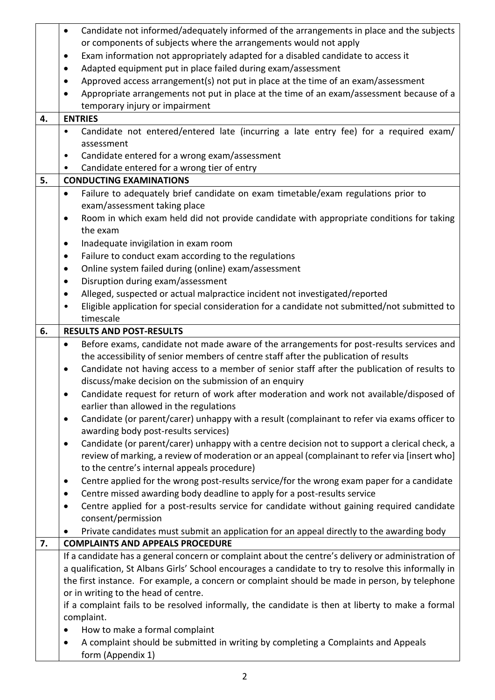|    | Candidate not informed/adequately informed of the arrangements in place and the subjects<br>$\bullet$                                                                               |  |  |  |  |  |  |
|----|-------------------------------------------------------------------------------------------------------------------------------------------------------------------------------------|--|--|--|--|--|--|
|    | or components of subjects where the arrangements would not apply                                                                                                                    |  |  |  |  |  |  |
|    | Exam information not appropriately adapted for a disabled candidate to access it<br>٠                                                                                               |  |  |  |  |  |  |
|    | Adapted equipment put in place failed during exam/assessment<br>$\bullet$                                                                                                           |  |  |  |  |  |  |
|    | Approved access arrangement(s) not put in place at the time of an exam/assessment<br>$\bullet$                                                                                      |  |  |  |  |  |  |
|    | Appropriate arrangements not put in place at the time of an exam/assessment because of a<br>$\bullet$                                                                               |  |  |  |  |  |  |
|    | temporary injury or impairment                                                                                                                                                      |  |  |  |  |  |  |
| 4. | <b>ENTRIES</b>                                                                                                                                                                      |  |  |  |  |  |  |
|    | Candidate not entered/entered late (incurring a late entry fee) for a required exam/<br>٠                                                                                           |  |  |  |  |  |  |
|    | assessment                                                                                                                                                                          |  |  |  |  |  |  |
|    | Candidate entered for a wrong exam/assessment<br>٠                                                                                                                                  |  |  |  |  |  |  |
|    | Candidate entered for a wrong tier of entry<br>$\bullet$                                                                                                                            |  |  |  |  |  |  |
| 5. | <b>CONDUCTING EXAMINATIONS</b>                                                                                                                                                      |  |  |  |  |  |  |
|    | Failure to adequately brief candidate on exam timetable/exam regulations prior to<br>$\bullet$                                                                                      |  |  |  |  |  |  |
|    | exam/assessment taking place                                                                                                                                                        |  |  |  |  |  |  |
|    | Room in which exam held did not provide candidate with appropriate conditions for taking<br>٠                                                                                       |  |  |  |  |  |  |
|    | the exam                                                                                                                                                                            |  |  |  |  |  |  |
|    | Inadequate invigilation in exam room<br>$\bullet$                                                                                                                                   |  |  |  |  |  |  |
|    | Failure to conduct exam according to the regulations<br>$\bullet$                                                                                                                   |  |  |  |  |  |  |
|    | Online system failed during (online) exam/assessment<br>$\bullet$                                                                                                                   |  |  |  |  |  |  |
|    | Disruption during exam/assessment<br>$\bullet$                                                                                                                                      |  |  |  |  |  |  |
|    |                                                                                                                                                                                     |  |  |  |  |  |  |
|    | Alleged, suspected or actual malpractice incident not investigated/reported<br>$\bullet$<br>٠                                                                                       |  |  |  |  |  |  |
|    | Eligible application for special consideration for a candidate not submitted/not submitted to<br>timescale                                                                          |  |  |  |  |  |  |
| 6. | <b>RESULTS AND POST-RESULTS</b>                                                                                                                                                     |  |  |  |  |  |  |
|    | Before exams, candidate not made aware of the arrangements for post-results services and<br>$\bullet$                                                                               |  |  |  |  |  |  |
|    | the accessibility of senior members of centre staff after the publication of results                                                                                                |  |  |  |  |  |  |
|    |                                                                                                                                                                                     |  |  |  |  |  |  |
|    | Candidate not having access to a member of senior staff after the publication of results to<br>$\bullet$<br>discuss/make decision on the submission of an enquiry                   |  |  |  |  |  |  |
|    |                                                                                                                                                                                     |  |  |  |  |  |  |
|    | Candidate request for return of work after moderation and work not available/disposed of                                                                                            |  |  |  |  |  |  |
|    | earlier than allowed in the regulations                                                                                                                                             |  |  |  |  |  |  |
|    | Candidate (or parent/carer) unhappy with a result (complainant to refer via exams officer to<br>٠                                                                                   |  |  |  |  |  |  |
|    | awarding body post-results services)                                                                                                                                                |  |  |  |  |  |  |
|    | Candidate (or parent/carer) unhappy with a centre decision not to support a clerical check, a<br>$\bullet$                                                                          |  |  |  |  |  |  |
|    | review of marking, a review of moderation or an appeal (complainant to refer via [insert who]<br>to the centre's internal appeals procedure)                                        |  |  |  |  |  |  |
|    | Centre applied for the wrong post-results service/for the wrong exam paper for a candidate                                                                                          |  |  |  |  |  |  |
|    | $\bullet$                                                                                                                                                                           |  |  |  |  |  |  |
|    | Centre missed awarding body deadline to apply for a post-results service<br>$\bullet$<br>Centre applied for a post-results service for candidate without gaining required candidate |  |  |  |  |  |  |
|    | $\bullet$                                                                                                                                                                           |  |  |  |  |  |  |
|    | consent/permission                                                                                                                                                                  |  |  |  |  |  |  |
|    | Private candidates must submit an application for an appeal directly to the awarding body<br>$\bullet$                                                                              |  |  |  |  |  |  |
| 7. | <b>COMPLAINTS AND APPEALS PROCEDURE</b>                                                                                                                                             |  |  |  |  |  |  |
|    | If a candidate has a general concern or complaint about the centre's delivery or administration of                                                                                  |  |  |  |  |  |  |
|    | a qualification, St Albans Girls' School encourages a candidate to try to resolve this informally in                                                                                |  |  |  |  |  |  |
|    | the first instance. For example, a concern or complaint should be made in person, by telephone                                                                                      |  |  |  |  |  |  |
|    | or in writing to the head of centre.                                                                                                                                                |  |  |  |  |  |  |
|    | if a complaint fails to be resolved informally, the candidate is then at liberty to make a formal                                                                                   |  |  |  |  |  |  |
|    | complaint.                                                                                                                                                                          |  |  |  |  |  |  |
|    | How to make a formal complaint<br>$\bullet$                                                                                                                                         |  |  |  |  |  |  |
|    | A complaint should be submitted in writing by completing a Complaints and Appeals<br>$\bullet$                                                                                      |  |  |  |  |  |  |
|    | form (Appendix 1)                                                                                                                                                                   |  |  |  |  |  |  |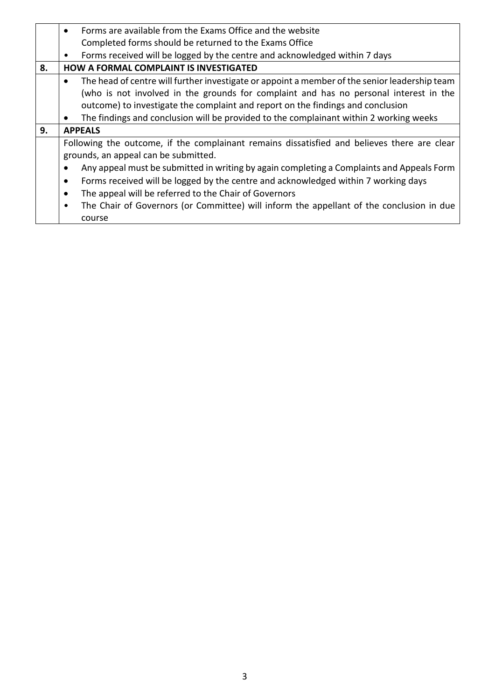|    | Forms are available from the Exams Office and the website<br>$\bullet$                                     |  |  |  |  |  |  |
|----|------------------------------------------------------------------------------------------------------------|--|--|--|--|--|--|
|    | Completed forms should be returned to the Exams Office                                                     |  |  |  |  |  |  |
|    | Forms received will be logged by the centre and acknowledged within 7 days<br>٠                            |  |  |  |  |  |  |
| 8. | <b>HOW A FORMAL COMPLAINT IS INVESTIGATED</b>                                                              |  |  |  |  |  |  |
|    | The head of centre will further investigate or appoint a member of the senior leadership team<br>$\bullet$ |  |  |  |  |  |  |
|    | (who is not involved in the grounds for complaint and has no personal interest in the                      |  |  |  |  |  |  |
|    | outcome) to investigate the complaint and report on the findings and conclusion                            |  |  |  |  |  |  |
|    | The findings and conclusion will be provided to the complainant within 2 working weeks<br>$\bullet$        |  |  |  |  |  |  |
| 9. | <b>APPEALS</b>                                                                                             |  |  |  |  |  |  |
|    | Following the outcome, if the complainant remains dissatisfied and believes there are clear                |  |  |  |  |  |  |
|    | grounds, an appeal can be submitted.                                                                       |  |  |  |  |  |  |
|    | Any appeal must be submitted in writing by again completing a Complaints and Appeals Form                  |  |  |  |  |  |  |
|    | Forms received will be logged by the centre and acknowledged within 7 working days<br>$\bullet$            |  |  |  |  |  |  |
|    | The appeal will be referred to the Chair of Governors<br>$\bullet$                                         |  |  |  |  |  |  |
|    | The Chair of Governors (or Committee) will inform the appellant of the conclusion in due<br>$\bullet$      |  |  |  |  |  |  |
|    | course                                                                                                     |  |  |  |  |  |  |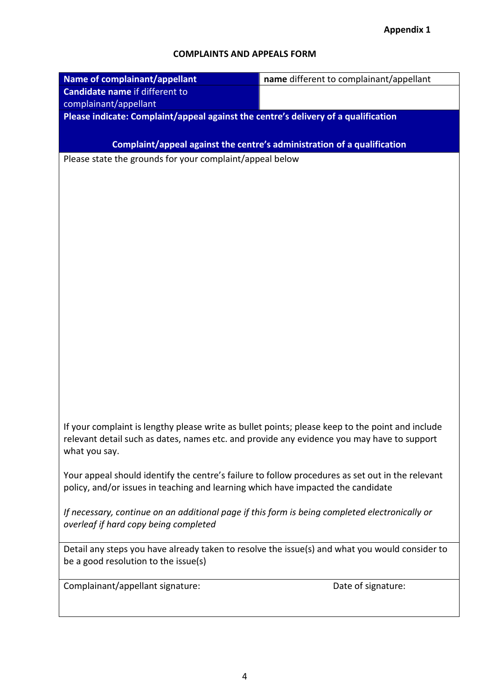## **COMPLAINTS AND APPEALS FORM**

| Name of complainant/appellant                                                                    | name different to complainant/appellant                                 |  |  |  |  |
|--------------------------------------------------------------------------------------------------|-------------------------------------------------------------------------|--|--|--|--|
| <b>Candidate name if different to</b>                                                            |                                                                         |  |  |  |  |
| complainant/appellant                                                                            |                                                                         |  |  |  |  |
| Please indicate: Complaint/appeal against the centre's delivery of a qualification               |                                                                         |  |  |  |  |
|                                                                                                  |                                                                         |  |  |  |  |
|                                                                                                  | Complaint/appeal against the centre's administration of a qualification |  |  |  |  |
| Please state the grounds for your complaint/appeal below                                         |                                                                         |  |  |  |  |
|                                                                                                  |                                                                         |  |  |  |  |
|                                                                                                  |                                                                         |  |  |  |  |
|                                                                                                  |                                                                         |  |  |  |  |
|                                                                                                  |                                                                         |  |  |  |  |
|                                                                                                  |                                                                         |  |  |  |  |
|                                                                                                  |                                                                         |  |  |  |  |
|                                                                                                  |                                                                         |  |  |  |  |
|                                                                                                  |                                                                         |  |  |  |  |
|                                                                                                  |                                                                         |  |  |  |  |
|                                                                                                  |                                                                         |  |  |  |  |
|                                                                                                  |                                                                         |  |  |  |  |
|                                                                                                  |                                                                         |  |  |  |  |
|                                                                                                  |                                                                         |  |  |  |  |
|                                                                                                  |                                                                         |  |  |  |  |
|                                                                                                  |                                                                         |  |  |  |  |
|                                                                                                  |                                                                         |  |  |  |  |
|                                                                                                  |                                                                         |  |  |  |  |
|                                                                                                  |                                                                         |  |  |  |  |
| If your complaint is lengthy please write as bullet points; please keep to the point and include |                                                                         |  |  |  |  |
| relevant detail such as dates, names etc. and provide any evidence you may have to support       |                                                                         |  |  |  |  |
| what you say.                                                                                    |                                                                         |  |  |  |  |
| Your appeal should identify the centre's failure to follow procedures as set out in the relevant |                                                                         |  |  |  |  |
| policy, and/or issues in teaching and learning which have impacted the candidate                 |                                                                         |  |  |  |  |
|                                                                                                  |                                                                         |  |  |  |  |
| If necessary, continue on an additional page if this form is being completed electronically or   |                                                                         |  |  |  |  |
| overleaf if hard copy being completed                                                            |                                                                         |  |  |  |  |
|                                                                                                  |                                                                         |  |  |  |  |
| Detail any steps you have already taken to resolve the issue(s) and what you would consider to   |                                                                         |  |  |  |  |
| be a good resolution to the issue(s)                                                             |                                                                         |  |  |  |  |
| Complainant/appellant signature:                                                                 | Date of signature:                                                      |  |  |  |  |
|                                                                                                  |                                                                         |  |  |  |  |
|                                                                                                  |                                                                         |  |  |  |  |